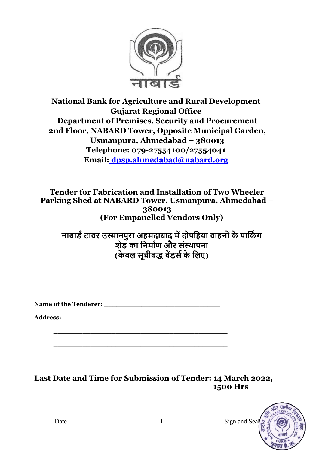

# **National Bank for Agriculture and Rural Development Gujarat Regional Office Department of Premises, Security and Procurement 2nd Floor, NABARD Tower, Opposite Municipal Garden, Usmanpura, Ahmedabad – 380013 Telephone: 079-27554100/27554041 Email: [dpsp.ahmedabad@nabard.org](mailto:%20dpsp.ahmedabad@nabard.org)**

**Tender for Fabrication and Installation of Two Wheeler Parking Shed at NABARD Tower, Usmanpura, Ahmedabad – 380013 (For Empanelled Vendors Only)**

**नाबार्ड टावर उस्मानपुरा अहमदाबाद में दोपहहया वाहनोों के पाहकिं ग शेर् का हनमाडण और सोंस्थापना (के वल सूचीबद्ध वेंर्सड के हलए)**

Name of the Tenderer: **We are also assumed that the Tenderer**  $\mathbf{r}$ 

**\_\_\_\_\_\_\_\_\_\_\_\_\_\_\_\_\_\_\_\_\_\_\_\_\_\_\_\_\_\_\_\_\_\_\_\_\_\_\_\_\_\_**

**\_\_\_\_\_\_\_\_\_\_\_\_\_\_\_\_\_\_\_\_\_\_\_\_\_\_\_\_\_\_\_\_\_\_\_\_\_\_\_\_\_\_**

**Address: \_\_\_\_\_\_\_\_\_\_\_\_\_\_\_\_\_\_\_\_\_\_\_\_\_\_\_\_\_\_\_\_\_\_\_\_\_\_\_\_**

**Last Date and Time for Submission of Tender: 14 March 2022, 1500 Hrs**

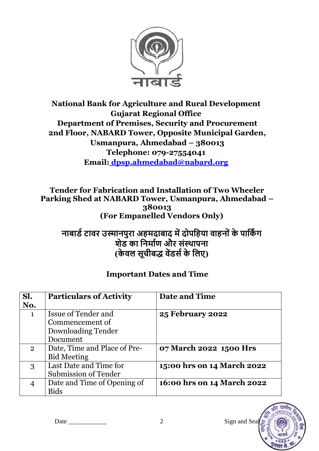

**National Bank for Agriculture and Rural Development Gujarat Regional Office Department of Premises, Security and Procurement 2nd Floor, NABARD Tower, Opposite Municipal Garden, Usmanpura, Ahmedabad – 380013 Telephone: 079-27554041 Email: [dpsp.ahmedabad@nabard.org](mailto:%20dpsp.ahmedabad@nabard.org)**

**Tender for Fabrication and Installation of Two Wheeler Parking Shed at NABARD Tower, Usmanpura, Ahmedabad – 380013 (For Empanelled Vendors Only)**

**नाबार्ड टावर उस्मानपुरा अहमदाबाद में दोपहहया वाहनोों के पाहकिं ग शेर् का हनमाडण और सोंस्थापना (के वल सूचीबद्ध वेंर्सड के हलए)**

## **Important Dates and Time**

| Sl.<br>No.     | <b>Particulars of Activity</b>                | Date and Time              |
|----------------|-----------------------------------------------|----------------------------|
| $\mathbf{1}$   | <b>Issue of Tender and</b><br>Commencement of | <b>25 February 2022</b>    |
|                | Downloading Tender                            |                            |
|                | Document                                      |                            |
| $\overline{2}$ | Date, Time and Place of Pre-                  | 07 March 2022 1500 Hrs     |
|                | <b>Bid Meeting</b>                            |                            |
| 3              | Last Date and Time for                        | 15:00 hrs on 14 March 2022 |
|                | <b>Submission of Tender</b>                   |                            |
| 4              | Date and Time of Opening of                   | 16:00 hrs on 14 March 2022 |
|                | <b>Bids</b>                                   |                            |

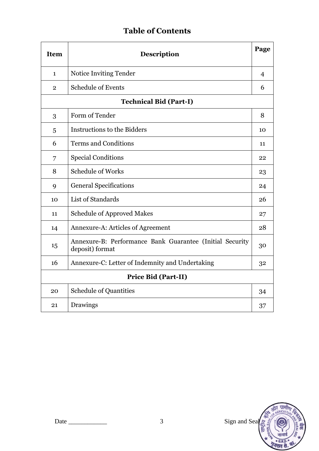# **Table of Contents**

| <b>Item</b>                | Page<br><b>Description</b>                                                  |                |  |
|----------------------------|-----------------------------------------------------------------------------|----------------|--|
| $\mathbf{1}$               | Notice Inviting Tender                                                      | $\overline{4}$ |  |
| $\overline{2}$             | <b>Schedule of Events</b>                                                   | 6              |  |
|                            | <b>Technical Bid (Part-I)</b>                                               |                |  |
| 3                          | Form of Tender                                                              | 8              |  |
| 5                          | Instructions to the Bidders                                                 | 10             |  |
| 6                          | <b>Terms and Conditions</b>                                                 | 11             |  |
| 7                          | <b>Special Conditions</b>                                                   | 22             |  |
| 8                          | <b>Schedule of Works</b>                                                    | 23             |  |
| 9                          | <b>General Specifications</b>                                               | 24             |  |
| 10                         | List of Standards                                                           | 26             |  |
| 11                         | <b>Schedule of Approved Makes</b>                                           | 27             |  |
| 14                         | Annexure-A: Articles of Agreement                                           | 28             |  |
| 15                         | Annexure-B: Performance Bank Guarantee (Initial Security<br>deposit) format | 30             |  |
| 16                         | Annexure-C: Letter of Indemnity and Undertaking                             | 32             |  |
| <b>Price Bid (Part-II)</b> |                                                                             |                |  |
| 20                         | <b>Schedule of Quantities</b>                                               | 34             |  |
| 21                         | Drawings                                                                    | 37             |  |

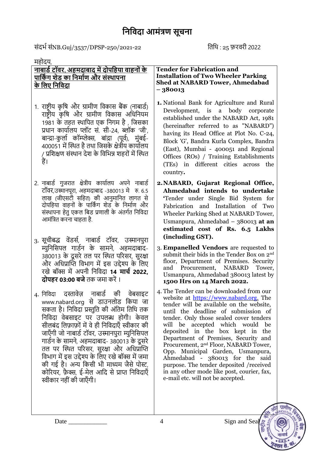संदर्भ संNB.Guj/3537/DPSP-250/2021-22 तिथि : 25 फ़रवरी 2022

| महोदय,                                                                                                                                                                                                                                                                                                                                                                                                                                                                                                                                          |                                                                                                                                                                                                                                                                                                                                                                                                                                                                                                                                                                                                   |
|-------------------------------------------------------------------------------------------------------------------------------------------------------------------------------------------------------------------------------------------------------------------------------------------------------------------------------------------------------------------------------------------------------------------------------------------------------------------------------------------------------------------------------------------------|---------------------------------------------------------------------------------------------------------------------------------------------------------------------------------------------------------------------------------------------------------------------------------------------------------------------------------------------------------------------------------------------------------------------------------------------------------------------------------------------------------------------------------------------------------------------------------------------------|
| <u>नाबार्ड टॉवर, अहमदाबाद में दोपहिया वाहनों के </u><br><u>पार्किंग शेड का निर्माण और संस्थापना</u><br><u>के लिए निविदा</u>                                                                                                                                                                                                                                                                                                                                                                                                                     | <b>Tender for Fabrication and</b><br><b>Installation of Two Wheeler Parking</b><br><b>Shed at NABARD Tower, Ahmedabad</b><br>$-380013$                                                                                                                                                                                                                                                                                                                                                                                                                                                            |
| 1. राष्ट्रीय कृषि और ग्रामीण विकास बैंक (नाबार्ड)<br>राष्ट्रीय कृषि और ग्रामीण विकास अधिनियम<br>1981 के तहत स्थापित एक निगम है , जिसका<br>प्रधान कार्यालय प्लॉट सं. सी-24, ब्लॉक 'जी',<br>बान्द्रा-कुर्ला कॉम्प्लेक्स, बांद्रा (पूर्व), मुंबई-<br>400051 में स्थित है तथा जिसके क्षेत्रीय कार्यालय<br>/ प्रशिक्षण संस्थान देश के विभिन्न शहरों में स्थित<br>हैं।                                                                                                                                                                                | 1. National Bank for Agriculture and Rural<br>Development, is a body corporate<br>established under the NABARD Act, 1981<br>(hereinafter referred to as "NABARD")<br>having its Head Office at Plot No. C-24,<br>Block 'G', Bandra Kurla Complex, Bandra<br>(East), Mumbai - 400051 and Regional<br>Offices (ROs) / Training Establishments<br>(TEs) in different cities across the<br>country.                                                                                                                                                                                                   |
| 2. नाबार्ड गुजरात क्षेत्रीय कार्यालय अपने नाबार्ड<br>टॉवर,उस्मानपूरा, अहमदाबाद -380013 मे   रु. 6.5<br>लाख (जीएसटी सहित) की आनुमानित लागत से<br>दोपहिया वाहनों के पार्किंग शेड के निर्माण और<br>संस्थापना हेतु एकल बिड प्रणाली के अंतर्गत निविदा<br>आमंत्रित करना चाहता है.                                                                                                                                                                                                                                                                     | 2. NABARD, Gujarat Regional Office,<br>Ahmedabad intends to undertake<br>'Tender under Single Bid System for<br>Fabrication and Installation of Two<br>Wheeler Parking Shed at NABARD Tower,<br>Usmanpura, Ahmedabad - 380013 at an<br>estimated cost of Rs. 6.5 Lakhs                                                                                                                                                                                                                                                                                                                            |
| 3. सूचीबद्ध वेंडर्स, नाबार्ड टॉवर, उस्मानपुरा<br>म्युनिसिपल गार्डन के सामने, अहमदाबाद-<br>380013 के दूसरे तल पर स्थित परिसर, सुरक्षा<br>और अधिप्राप्ति विभाग में इस उद्देश्य के लिए<br>रखे बॉक्स में अपनी निविदा <b>14 मार्च 2022,</b><br>दोपहर 03:00 बजे तक जमा करें ।                                                                                                                                                                                                                                                                         | (including GST).<br>3. Empanelled Vendors are requested to<br>submit their bids in the Tender Box on 2 <sup>nd</sup><br>floor, Department of Premises. Security<br>Procurement, NABARD<br>and<br>Tower,<br>Usmanpura, Ahmedabad 380013 latest by<br>1500 Hrs on 14 March 2022.                                                                                                                                                                                                                                                                                                                    |
| नाबार्ड की<br>4. निविदा दस्तावेज़<br>वेबसाइट<br>www.nabard.org से डाउनलोड किया जा<br>सकता है। निविदा प्रस्तुति की अंतिम तिथि तक<br>निविदा वेबसाइट पर उपलब्ध होगी। केवल<br>सीलबंद लिफ़ाफ़ों में वे ही निविदाएँ स्वीकार की<br>जाएँगी जो नाबार्ड टॉवर, उस्मानपुरा म्युनिसिपल<br>गार्डन के सामने, अहमदाबाद- 380013 के दूसरे<br>तल पर स्थित परिसर, सुरक्षा और अधिप्राप्ति<br>विभाग में इस उद्देश्य के लिए रखे बॉक्स में जमा<br>की गई है। अन्य किसी भी माध्यम जैसे पोस्ट,<br>कोरियर, फ़ैक्स, ई-मेल आदि से प्राप्त निविदाएँ<br>स्वीकार नहीं की जाएँगी। | 4. The Tender can be downloaded from our<br>website at https://www.nabard.org. The<br>tender will be available on the website,<br>until the deadline of submission of<br>tender. Only those sealed cover tenders<br>will be accepted which would<br>be<br>deposited in the box kept in<br>the<br>Department of Premises, Security and<br>Procurement, 2 <sup>nd</sup> Floor, NABARD Tower,<br>Opp. Municipal Garden, Usmanpura,<br>Ahmedabad - 380013 for the said<br>purpose. The tender deposited / received<br>in any other mode like post, courier, fax,<br>e-mail etc. will not be accepted. |

ग्रामीर

 $G R$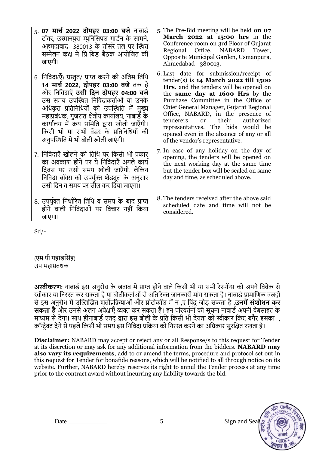| 5. 07 <b>मार्च 2022 दोपहर 03:00 बजे</b> नाबार्ड<br>टॉवर, उस्मानपुरा म्युनिसिपल गार्डन के सामने,<br>अहमदाबाद- 380013 के तीसरे तल पर स्थित<br>सम्मेलन कक्ष मे प्रि-बिड बैठक आयोजित की<br>जाएगी।                                                                                                                                                                                                                       | 5. The Pre-Bid meeting will be held on 07<br>March $2022$ at $15:00$ hrs in the<br>Conference room on 3rd Floor of Gujarat<br>Regional Office, NABARD<br>Tower,<br>Opposite Municipal Garden, Usmanpura,<br>Ahmedabad - 380013.                                                                                                                                                                                                                      |
|---------------------------------------------------------------------------------------------------------------------------------------------------------------------------------------------------------------------------------------------------------------------------------------------------------------------------------------------------------------------------------------------------------------------|------------------------------------------------------------------------------------------------------------------------------------------------------------------------------------------------------------------------------------------------------------------------------------------------------------------------------------------------------------------------------------------------------------------------------------------------------|
| 6. निविदा(एँ) प्रस्तुत/ प्राप्त करने की अंतिम तिथि<br>14 मार्च 2022, दोपहर 03:00 बजे तक है<br>और निविदाएँ <b>उसी दिन दोपहर 04:00 बजे</b><br>उस समय उपस्थित निविदाकर्ताओं या उनके<br>अधिकृत प्रतिनिधियों की उपस्थिति में मुख्य<br>महाप्रबंधक, गुजरात क्षेत्रीय कार्यालय, नाबार्ड के<br>कार्यालय में क्रय समिति द्वारा खोली जाएँगी।<br>किसी भी या सभी वेंडर के प्रतिनिधियों की<br>अनुपस्थिति में भी बोली खोली जाएंगी। | 6. Last date for submission/receipt of<br>$tender(s)$ is $14$ March 2022 till 1500<br><b>Hrs.</b> and the tenders will be opened on<br>the same day at 1600 Hrs by the<br>Purchase Committee in the Office of<br>Chief General Manager, Gujarat Regional<br>Office, NABARD, in the presence of<br>tenderers or their authorized<br>representatives. The bids would be<br>opened even in the absence of any or all<br>of the vendor's representative. |
| 7. निविदाएँ खोलने की तिथि पर किसी भी प्रकार                                                                                                                                                                                                                                                                                                                                                                         | 7. In case of any holiday on the day of                                                                                                                                                                                                                                                                                                                                                                                                              |
| का अवकाश होने पर ये निविदाएँ अगले कार्य                                                                                                                                                                                                                                                                                                                                                                             | opening, the tenders will be opened on                                                                                                                                                                                                                                                                                                                                                                                                               |
| दिवस पर उसी समय खोली जाएँगी, लेकिन                                                                                                                                                                                                                                                                                                                                                                                  | the next working day at the same time                                                                                                                                                                                                                                                                                                                                                                                                                |
| निविदा बॉक्स को उपर्युक्त शेड्यूल के अनुसार                                                                                                                                                                                                                                                                                                                                                                         | but the tender box will be sealed on same                                                                                                                                                                                                                                                                                                                                                                                                            |
| उसी दिन व समय पर सील कर दिया जाएगा।                                                                                                                                                                                                                                                                                                                                                                                 | day and time, as scheduled above.                                                                                                                                                                                                                                                                                                                                                                                                                    |
| 8. उपर्युक्त निर्धारित तिथि व समय के बाद प्राप्त                                                                                                                                                                                                                                                                                                                                                                    | 8. The tenders received after the above said                                                                                                                                                                                                                                                                                                                                                                                                         |
| होने वाली निविदाओं पर विचार नहीं किया                                                                                                                                                                                                                                                                                                                                                                               | scheduled date and time will not be                                                                                                                                                                                                                                                                                                                                                                                                                  |
| जाएगा।                                                                                                                                                                                                                                                                                                                                                                                                              | considered.                                                                                                                                                                                                                                                                                                                                                                                                                                          |

Sd/-

(एम पी पहाडसिंह) उप महाप्रबंधक

**अस्वीकरण:** नाबार्ड इस अनुरोध के जवाब में प्राप्त होने वाले किसी भी या सभी रेस्पॉन्स को अपने विवेक से स्वीकार या तनरस्त कर सकिा है या बोलीकिाभओं से अतिररक्त िानकारी मांग सकिा है। नाबार्भ प्रामातणक विहों से इस अनुरोध में उल्लिखित शर्ताप्रक्रियाओं और प्रोटोकॉल में न ,ए बिंदु जोड़ सकता है ,**उनमें संशोधन कर सकता है** और उनसे अलग अपेक्षाएँ व्यक्त कर सकता है। इन परिवर्तनों की सूचना नाबार्ड अपनी वेबसाइट के माध्यम से देगा। साथ हीनाबार्ड एतद् द्वारा इस बोली के प्रति किसी भी देयता को स्वीकार किए बगैर इसका , कॉन्ट्रैक्ट देने से पहले किसी भी समय इस निर्विदा प्रक्रिया को निरस्त करने का अधिकार सुरक्षित रखता है।

**Disclaimer:** NABARD may accept or reject any or all Response/s to this request for Tender at its discretion or may ask for any additional information from the bidders. **NABARD may also vary its requirements**, add to or amend the terms, procedure and protocol set out in this request for Tender for bonafide reasons, which will be notified to all through notice on its website. Further, NABARD hereby reserves its right to annul the Tender process at any time prior to the contract award without incurring any liability towards the bid.

Date  $\begin{array}{cc} 5 & \text{Sign and Sea} \end{array}$ 

 $\pi r$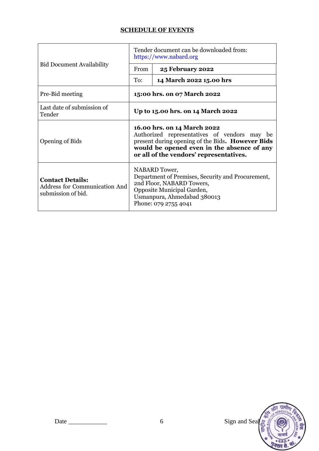### **SCHEDULE OF EVENTS**

|                                                                                       | Tender document can be downloaded from:<br>https://www.nabard.org                                                                                                                                                        |                                                                                                                                                                                      |  |
|---------------------------------------------------------------------------------------|--------------------------------------------------------------------------------------------------------------------------------------------------------------------------------------------------------------------------|--------------------------------------------------------------------------------------------------------------------------------------------------------------------------------------|--|
| <b>Bid Document Availability</b>                                                      | From                                                                                                                                                                                                                     | <b>25 February 2022</b>                                                                                                                                                              |  |
|                                                                                       | To:                                                                                                                                                                                                                      | 14 March 2022 15.00 hrs                                                                                                                                                              |  |
| Pre-Bid meeting                                                                       | 15:00 hrs. on 07 March 2022                                                                                                                                                                                              |                                                                                                                                                                                      |  |
| Last date of submission of<br>Tender                                                  | Up to 15.00 hrs. on 14 March 2022                                                                                                                                                                                        |                                                                                                                                                                                      |  |
| <b>Opening of Bids</b>                                                                | 16.00 hrs. on 14 March 2022<br>Authorized representatives of vendors may be<br>present during opening of the Bids. However Bids<br>would be opened even in the absence of any<br>or all of the vendors' representatives. |                                                                                                                                                                                      |  |
| <b>Contact Details:</b><br><b>Address for Communication And</b><br>submission of bid. |                                                                                                                                                                                                                          | NABARD Tower,<br>Department of Premises, Security and Procurement,<br>2nd Floor, NABARD Towers,<br>Opposite Municipal Garden,<br>Usmanpura, Ahmedabad 380013<br>Phone: 079 2755 4041 |  |

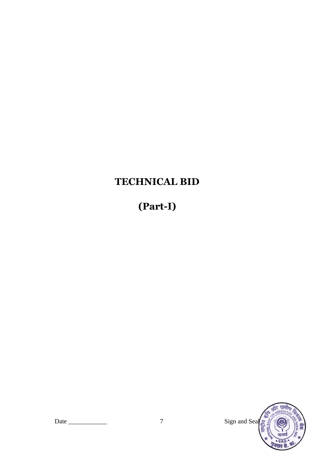# **TECHNICAL BID**

# **(Part-I)**

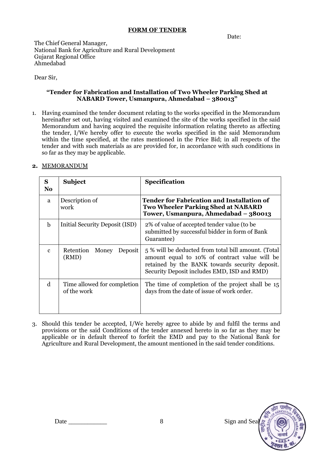#### **FORM OF TENDER**

Date:

The Chief General Manager, National Bank for Agriculture and Rural Development Gujarat Regional Office Ahmedabad

Dear Sir,

#### **"Tender for Fabrication and Installation of Two Wheeler Parking Shed at NABARD Tower, Usmanpura, Ahmedabad – 380013"**

1. Having examined the tender document relating to the works specified in the Memorandum hereinafter set out, having visited and examined the site of the works specified in the said Memorandum and having acquired the requisite information relating thereto as affecting the tender, I/We hereby offer to execute the works specified in the said Memorandum within the time specified, at the rates mentioned in the Price Bid; in all respects of the tender and with such materials as are provided for, in accordance with such conditions in so far as they may be applicable.

#### **2.** MEMORANDUM

| S<br>N <sub>o</sub> | <b>Subject</b>                             | Specification                                                                                                                                                                                         |
|---------------------|--------------------------------------------|-------------------------------------------------------------------------------------------------------------------------------------------------------------------------------------------------------|
| a                   | Description of<br>work                     | <b>Tender for Fabrication and Installation of</b><br><b>Two Wheeler Parking Shed at NABARD</b><br>Tower, Usmanpura, Ahmedabad - 380013                                                                |
| $\mathbf b$         | <b>Initial Security Deposit (ISD)</b>      | 2% of value of accepted tender value (to be<br>submitted by successful bidder in form of Bank<br>Guarantee)                                                                                           |
| $\mathbf{c}$        | Retention<br>Money<br>Deposit<br>(RMD)     | 5 % will be deducted from total bill amount. (Total<br>amount equal to 10% of contract value will be<br>retained by the BANK towards security deposit.<br>Security Deposit includes EMD, ISD and RMD) |
| d                   | Time allowed for completion<br>of the work | The time of completion of the project shall be 15<br>days from the date of issue of work order.                                                                                                       |

3. Should this tender be accepted, I/We hereby agree to abide by and fulfil the terms and provisions or the said Conditions of the tender annexed hereto in so far as they may be applicable or in default thereof to forfeit the EMD and pay to the National Bank for Agriculture and Rural Development, the amount mentioned in the said tender conditions.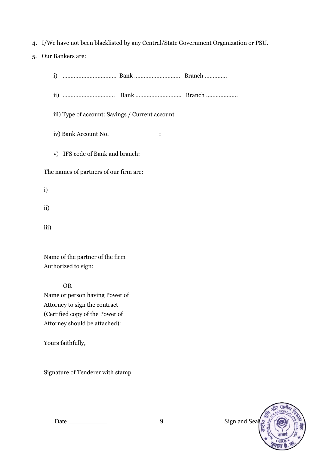- 4. I/We have not been blacklisted by any Central/State Government Organization or PSU.
- 5. Our Bankers are:
	- i) ……………………………. Bank ……………………….. Branch ..............
	- ii) …………………………… Bank ……………………….. Branch ....................
	- iii) Type of account: Savings / Current account
	- iv) Bank Account No. :
	- v) IFS code of Bank and branch:

The names of partners of our firm are:

- i)
- ii)
- iii)

Name of the partner of the firm Authorized to sign:

OR

Name or person having Power of Attorney to sign the contract (Certified copy of the Power of Attorney should be attached):

Yours faithfully,

Signature of Tenderer with stamp

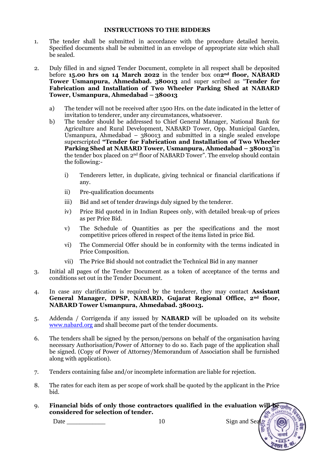#### **INSTRUCTIONS TO THE BIDDERS**

- 1. The tender shall be submitted in accordance with the procedure detailed herein. Specified documents shall be submitted in an envelope of appropriate size which shall be sealed.
- 2. Duly filled in and signed Tender Document, complete in all respect shall be deposited before **15.00 hrs on 14 March 2022** in the tender box on**2nd floor, NABARD Tower Usmanpura, Ahmedabad. 380013** and super scribed as "**Tender for Fabrication and Installation of Two Wheeler Parking Shed at NABARD Tower, Usmanpura, Ahmedabad – 380013**
	- a) The tender will not be received after 1500 Hrs. on the date indicated in the letter of invitation to tenderer, under any circumstances, whatsoever.
	- b) The tender should be addressed to Chief General Manager, National Bank for Agriculture and Rural Development, NABARD Tower, Opp. Municipal Garden, Usmanpura, Ahmedabad –  $380013$  and submitted in a single sealed envelope superscripted **"Tender for Fabrication and Installation of Two Wheeler Parking Shed at NABARD Tower, Usmanpura, Ahmedabad – 380013**"in the tender box placed on 2nd floor of NABARD Tower". The envelop should contain the following:
		- i) Tenderers letter, in duplicate, giving technical or financial clarifications if any.
		- ii) Pre-qualification documents
		- iii) Bid and set of tender drawings duly signed by the tenderer.
		- iv) Price Bid quoted in in Indian Rupees only, with detailed break-up of prices as per Price Bid.
		- v) The Schedule of Quantities as per the specifications and the most competitive prices offered in respect of the items listed in price Bid.
		- vi) The Commercial Offer should be in conformity with the terms indicated in Price Composition.
		- vii) The Price Bid should not contradict the Technical Bid in any manner
- 3. Initial all pages of the Tender Document as a token of acceptance of the terms and conditions set out in the Tender Document.
- 4. In case any clarification is required by the tenderer, they may contact **Assistant General Manager, DPSP, NABARD, Gujarat Regional Office, 2nd floor, NABARD Tower Usmanpura, Ahmedabad. 380013.**
- 5. Addenda / Corrigenda if any issued by **NABARD** will be uploaded on its website [www.nabard.org](http://www.nabard.org/) and shall become part of the tender documents.
- 6. The tenders shall be signed by the person/persons on behalf of the organisation having necessary Authorisation/Power of Attorney to do so. Each page of the application shall be signed. (Copy of Power of Attorney/Memorandum of Association shall be furnished along with application).
- 7. Tenders containing false and/or incomplete information are liable for rejection.
- 8. The rates for each item as per scope of work shall be quoted by the applicant in the Price bid.
- 9. **Financial bids of only those contractors qualified in the evaluation will be considered for selection of tender.**GRICULT

Date 20 and 20 and 3 and 3 and 3 and 3 and 3 and 3 and 3 and 3 and 3 and 3 and 3 and 3 and 3 and 3 and 3 and 3 and 3 and 3 and 3 and 3 and 3 and 3 and 3 and 3 and 3 and 3 and 3 and 3 and 3 and 3 and 3 and 3 and 3 and 3 and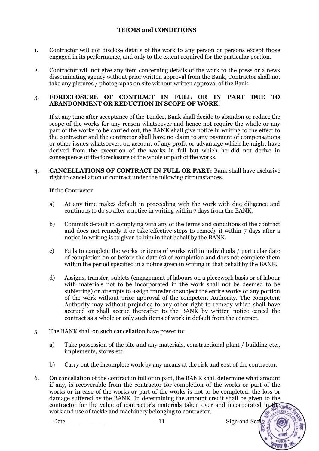#### **TERMS and CONDITIONS**

- 1. Contractor will not disclose details of the work to any person or persons except those engaged in its performance, and only to the extent required for the particular portion.
- 2. Contractor will not give any item concerning details of the work to the press or a news disseminating agency without prior written approval from the Bank, Contractor shall not take any pictures / photographs on site without written approval of the Bank.

#### 3. **FORECLOSURE OF CONTRACT IN FULL OR IN PART DUE TO ABANDONMENT OR REDUCTION IN SCOPE OF WORK**:

If at any time after acceptance of the Tender, Bank shall decide to abandon or reduce the scope of the works for any reason whatsoever and hence not require the whole or any part of the works to be carried out, the BANK shall give notice in writing to the effect to the contractor and the contractor shall have no claim to any payment of compensations or other issues whatsoever, on account of any profit or advantage which he might have derived from the execution of the works in full but which he did not derive in consequence of the foreclosure of the whole or part of the works.

4. **CANCELLATIONS OF CONTRACT IN FULL OR PART:** Bank shall have exclusive right to cancellation of contract under the following circumstances.

If the Contractor

- a) At any time makes default in proceeding with the work with due diligence and continues to do so after a notice in writing within 7 days from the BANK.
- b) Commits default in complying with any of the terms and conditions of the contract and does not remedy it or take effective steps to remedy it within 7 days after a notice in writing is to given to him in that behalf by the BANK.
- c) Fails to complete the works or items of works within individuals / particular date of completion on or before the date (s) of completion and does not complete them within the period specified in a notice given in writing in that behalf by the BANK.
- d) Assigns, transfer, sublets (engagement of labours on a piecework basis or of labour with materials not to be incorporated in the work shall not be deemed to be subletting) or attempts to assign transfer or subject the entire works or any portion of the work without prior approval of the competent Authority. The competent Authority may without prejudice to any other right to remedy which shall have accrued or shall accrue thereafter to the BANK by written notice cancel the contract as a whole or only such items of work in default from the contract.
- 5. The BANK shall on such cancellation have power to:
	- a) Take possession of the site and any materials, constructional plant / building etc., implements, stores etc.
	- b) Carry out the incomplete work by any means at the risk and cost of the contractor.
- 6. On cancellation of the contract in full or in part, the BANK shall determine what amount if any, is recoverable from the contractor for completion of the works or part of the works or in case of the works or part of the works is not to be completed, the loss or damage suffered by the BANK. In determining the amount credit shall be given to the contractor for the value of contractor's materials taken over and incorporated in the unit of work and use of tackle and machinery belonging to contractor.AGRICULT

Date  $\begin{array}{ccc} 11 & 11 & \text{Sign and Sea} \end{array}$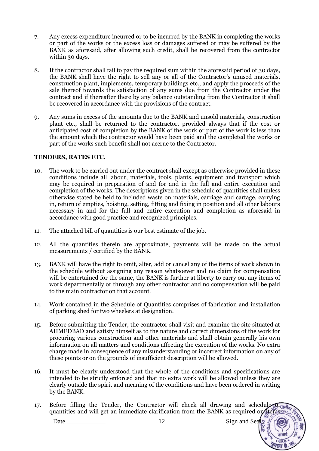- 7. Any excess expenditure incurred or to be incurred by the BANK in completing the works or part of the works or the excess loss or damages suffered or may be suffered by the BANK as aforesaid, after allowing such credit, shall be recovered from the contractor within 30 days.
- 8. If the contractor shall fail to pay the required sum within the aforesaid period of 30 days, the BANK shall have the right to sell any or all of the Contractor's unused materials, construction plant, implements, temporary buildings etc., and apply the proceeds of the sale thereof towards the satisfaction of any sums due from the Contractor under the contract and if thereafter there by any balance outstanding from the Contractor it shall be recovered in accordance with the provisions of the contract.
- 9. Any sums in excess of the amounts due to the BANK and unsold materials, construction plant etc., shall be returned to the contractor, provided always that if the cost or anticipated cost of completion by the BANK of the work or part of the work is less than the amount which the contractor would have been paid and the completed the works or part of the works such benefit shall not accrue to the Contractor.

#### **TENDERS, RATES ETC.**

- 10. The work to be carried out under the contract shall except as otherwise provided in these conditions include all labour, materials, tools, plants, equipment and transport which may be required in preparation of and for and in the full and entire execution and completion of the works. The descriptions given in the schedule of quantities shall unless otherwise stated be held to included waste on materials, carriage and cartage, carrying in, return of empties, hoisting, setting, fitting and fixing in position and all other labours necessary in and for the full and entire execution and completion as aforesaid in accordance with good practice and recognized principles.
- 11. The attached bill of quantities is our best estimate of the job.
- 12. All the quantities therein are approximate, payments will be made on the actual measurements / certified by the BANK.
- 13. BANK will have the right to omit, alter, add or cancel any of the items of work shown in the schedule without assigning any reason whatsoever and no claim for compensation will be entertained for the same, the BANK is further at liberty to carry out any items of work departmentally or through any other contractor and no compensation will be paid to the main contractor on that account.
- 14. Work contained in the Schedule of Quantities comprises of fabrication and installation of parking shed for two wheelers at designation.
- 15. Before submitting the Tender, the contractor shall visit and examine the site situated at AHMEDBAD and satisfy himself as to the nature and correct dimensions of the work for procuring various construction and other materials and shall obtain generally his own information on all matters and conditions affecting the execution of the works. No extra charge made in consequence of any misunderstanding or incorrect information on any of these points or on the grounds of insufficient description will be allowed.
- 16. It must be clearly understood that the whole of the conditions and specifications are intended to be strictly enforced and that no extra work will be allowed unless they are clearly outside the spirit and meaning of the conditions and have been ordered in writing by the BANK.
- 17. Before filling the Tender, the Contractor will check all drawing and schedule  $\frac{1}{2}$ quantities and will get an immediate clarification from the BANK as required on items  $\frac{1}{2}$

Date Sign and Sea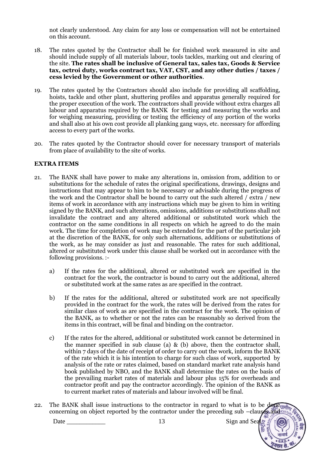not clearly understood. Any claim for any loss or compensation will not be entertained on this account.

- 18. The rates quoted by the Contractor shall be for finished work measured in site and should include supply of all materials labour, tools tackles, marking out and clearing of the site. **The rates shall be inclusive of General tax, sales tax, Goods & Service tax, octroi duty, works contract tax, VAT, CST, and any other duties / taxes / cess levied by the Government or other authorities**.
- 19. The rates quoted by the Contractors should also include for providing all scaffolding, hoists, tackle and other plant, shuttering profiles and apparatus generally required for the proper execution of the work. The contractors shall provide without extra charges all labour and apparatus required by the BANK for testing and measuring the works and for weighing measuring, providing or testing the efficiency of any portion of the works and shall also at his own cost provide all planking gang ways, etc. necessary for affording access to every part of the works.
- 20. The rates quoted by the Contractor should cover for necessary transport of materials from place of availability to the site of works.

#### **EXTRA ITEMS**

- 21. The BANK shall have power to make any alterations in, omission from, addition to or substitutions for the schedule of rates the original specifications, drawings, designs and instructions that may appear to him to be necessary or advisable during the progress of the work and the Contractor shall be bound to carry out the such altered / extra / new items of work in accordance with any instructions which may be given to him in writing signed by the BANK, and such alterations, omissions, additions or substitutions shall not invalidate the contract and any altered additional or substituted work which the contractor on the same conditions in all respects on which he agreed to do the main work. The time for completion of work may be extended for the part of the particular job at the discretion of the BANK, for only such alternations, additions or substitutions of the work, as he may consider as just and reasonable. The rates for such additional, altered or substituted work under this clause shall be worked out in accordance with the following provisions. :
	- a) If the rates for the additional, altered or substituted work are specified in the contract for the work, the contractor is bound to carry out the additional, altered or substituted work at the same rates as are specified in the contract.
	- b) If the rates for the additional, altered or substituted work are not specifically provided in the contract for the work, the rates will be derived from the rates for similar class of work as are specified in the contract for the work. The opinion of the BANK, as to whether or not the rates can be reasonably so derived from the items in this contract, will be final and binding on the contractor.
	- c) If the rates for the altered, additional or substituted work cannot be determined in the manner specified in sub clause (a) & (b) above, then the contractor shall, within 7 days of the date of receipt of order to carry out the work, inform the BANK of the rate which it is his intention to charge for such class of work, supported by analysis of the rate or rates claimed, based on standard market rate analysis hand book published by NBO, and the BANK shall determine the rates on the basis of the prevailing market rates of materials and labour plus 15% for overheads and contractor profit and pay the contractor accordingly. The opinion of the BANK as to current market rates of materials and labour involved will be final.
- 22. The BANK shall issue instructions to the contractor in regard to what is to be done  $\eta_{\text{F}}$ concerning on object reported by the contractor under the preceding sub –clauses and cut

Date Sign and Sea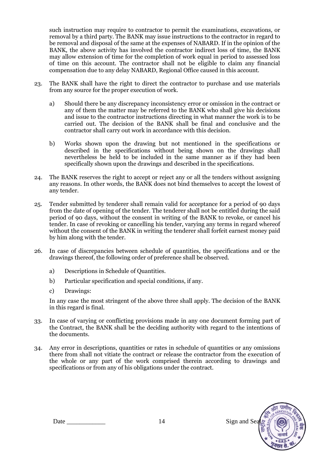such instruction may require to contractor to permit the examinations, excavations, or removal by a third party. The BANK may issue instructions to the contractor in regard to be removal and disposal of the same at the expenses of NABARD. If in the opinion of the BANK, the above activity has involved the contractor indirect loss of time, the BANK may allow extension of time for the completion of work equal in period to assessed loss of time on this account. The contractor shall not be eligible to claim any financial compensation due to any delay NABARD, Regional Office caused in this account.

- 23. The BANK shall have the right to direct the contractor to purchase and use materials from any source for the proper execution of work.
	- a) Should there be any discrepancy inconsistency error or omission in the contract or any of them the matter may be referred to the BANK who shall give his decisions and issue to the contractor instructions directing in what manner the work is to be carried out. The decision of the BANK shall be final and conclusive and the contractor shall carry out work in accordance with this decision.
	- b) Works shown upon the drawing but not mentioned in the specifications or described in the specifications without being shown on the drawings shall nevertheless be held to be included in the same manner as if they had been specifically shown upon the drawings and described in the specifications.
- 24. The BANK reserves the right to accept or reject any or all the tenders without assigning any reasons. In other words, the BANK does not bind themselves to accept the lowest of any tender.
- 25. Tender submitted by tenderer shall remain valid for acceptance for a period of 90 days from the date of opening of the tender. The tenderer shall not be entitled during the said period of 90 days, without the consent in writing of the BANK to revoke, or cancel his tender. In case of revoking or cancelling his tender, varying any terms in regard whereof without the consent of the BANK in writing the tenderer shall forfeit earnest money paid by him along with the tender.
- 26. In case of discrepancies between schedule of quantities, the specifications and or the drawings thereof, the following order of preference shall be observed.
	- a) Descriptions in Schedule of Quantities.
	- b) Particular specification and special conditions, if any.
	- c) Drawings:

In any case the most stringent of the above three shall apply. The decision of the BANK in this regard is final.

- 33. In case of varying or conflicting provisions made in any one document forming part of the Contract, the BANK shall be the deciding authority with regard to the intentions of the documents.
- 34. Any error in descriptions, quantities or rates in schedule of quantities or any omissions there from shall not vitiate the contract or release the contractor from the execution of the whole or any part of the work comprised therein according to drawings and specifications or from any of his obligations under the contract.

Date 2012 14 Sign and Sea

 $\pi r$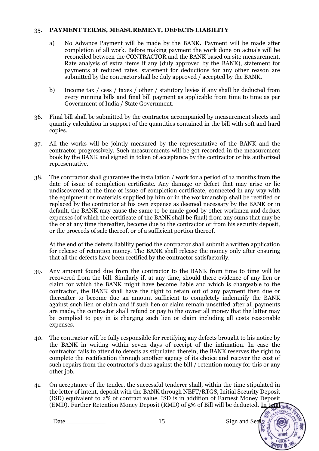#### 35. **PAYMENT TERMS, MEASUREMENT, DEFECTS LIABILITY**

- a) No Advance Payment will be made by the BANK**.** Payment will be made after completion of all work. Before making payment the work done on actuals will be reconciled between the CONTRACTOR and the BANK based on site measurement. Rate analysis of extra items if any (duly approved by the BANK), statement for payments at reduced rates, statement for deductions for any other reason are submitted by the contractor shall be duly approved / accepted by the BANK.
- b) Income tax / cess / taxes / other / statutory levies if any shall be deducted from every running bills and final bill payment as applicable from time to time as per Government of India / State Government.
- 36. Final bill shall be submitted by the contractor accompanied by measurement sheets and quantity calculation in support of the quantities contained in the bill with soft and hard copies.
- 37. All the works will be jointly measured by the representative of the BANK and the contractor progressively. Such measurements will be got recorded in the measurement book by the BANK and signed in token of acceptance by the contractor or his authorized representative.
- 38. The contractor shall guarantee the installation / work for a period of 12 months from the date of issue of completion certificate. Any damage or defect that may arise or lie undiscovered at the time of issue of completion certificate, connected in any way with the equipment or materials supplied by him or in the workmanship shall be rectified or replaced by the contractor at his own expense as deemed necessary by the BANK or in default, the BANK may cause the same to be made good by other workmen and deduct expenses (of which the certificate of the BANK shall be final) from any sums that may be the or at any time thereafter, become due to the contractor or from his security deposit, or the proceeds of sale thereof, or of a sufficient portion thereof.

At the end of the defects liability period the contractor shall submit a written application for release of retention money. The BANK shall release the money only after ensuring that all the defects have been rectified by the contractor satisfactorily.

- 39. Any amount found due from the contractor to the BANK from time to time will be recovered from the bill. Similarly if, at any time, should there evidence of any lien or claim for which the BANK might have become liable and which is chargeable to the contractor, the BANK shall have the right to retain out of any payment then due or thereafter to become due an amount sufficient to completely indemnify the BANK against such lien or claim and if such lien or claim remain unsettled after all payments are made, the contractor shall refund or pay to the owner all money that the latter may be complied to pay in is charging such lien or claim including all costs reasonable expenses.
- 40. The contractor will be fully responsible for rectifying any defects brought to his notice by the BANK in writing within seven days of receipt of the intimation. In case the contractor fails to attend to defects as stipulated therein, the BANK reserves the right to complete the rectification through another agency of its choice and recover the cost of such repairs from the contractor's dues against the bill / retention money for this or any other job.
- 41. On acceptance of the tender, the successful tenderer shall, within the time stipulated in the letter of intent, deposit with the BANK through NEFT/RTGS, Initial Security Deposit (ISD) equivalent to 2% of contract value. ISD is in addition of Earnest Money Deposit (EMD). Further Retention Money Deposit (RMD) of  $5\%$  of Bill will be deducted. In total unity

Date \_\_\_\_\_\_\_\_\_\_\_\_ 15 Sign and Seal

**AGRICULTU**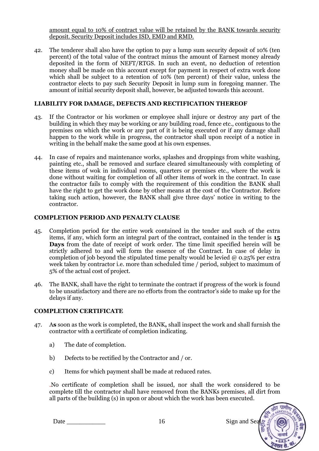amount equal to 10% of contract value will be retained by the BANK towards security deposit. Security Deposit includes ISD, EMD and RMD.

42. The tenderer shall also have the option to pay a lump sum security deposit of 10% (ten percent) of the total value of the contract minus the amount of Earnest money already deposited in the form of NEFT/RTGS. In such an event, no deduction of retention money shall be made on this account except for payment in respect of extra work done which shall be subject to a retention of 10% (ten percent) of their value, unless the contractor elects to pay such Security Deposit in lump sum in foregoing manner. The amount of initial security deposit shall, however, be adjusted towards this account.

#### **LIABILITY FOR DAMAGE, DEFECTS AND RECTIFICATION THEREOF**

- 43. If the Contractor or his workmen or employee shall injure or destroy any part of the building in which they may be working or any building road, fence etc., contiguous to the premises on which the work or any part of it is being executed or if any damage shall happen to the work while in progress, the contractor shall upon receipt of a notice in writing in the behalf make the same good at his own expenses.
- 44. In case of repairs and maintenance works, splashes and droppings from white washing, painting etc., shall be removed and surface cleared simultaneously with completing of these items of wok in individual rooms, quarters or premises etc., where the work is done without waiting for completion of all other items of work in the contract. In case the contractor fails to comply with the requirement of this condition the BANK shall have the right to get the work done by other means at the cost of the Contractor. Before taking such action, however, the BANK shall give three days' notice in writing to the contractor.

#### **COMPLETION PERIOD AND PENALTY CLAUSE**

- 45. Completion period for the entire work contained in the tender and such of the extra items, if any, which form an integral part of the contract, contained in the tender is **15 Days** from the date of receipt of work order. The time limit specified herein will be strictly adhered to and will form the essence of the Contract. In case of delay in completion of job beyond the stipulated time penalty would be levied  $\omega$  0.25% per extra week taken by contractor i.e. more than scheduled time / period, subject to maximum of 5% of the actual cost of project.
- 46. The BANK, shall have the right to terminate the contract if progress of the work is found to be unsatisfactory and there are no efforts from the contractor's side to make up for the delays if any.

#### **COMPLETION CERTIFICATE**

- 47. A**s** soon as the work is completed, the BANK**,** shall inspect the work and shall furnish the contractor with a certificate of completion indicating.
	- a) The date of completion.
	- b) Defects to be rectified by the Contractor and / or.
	- c) Items for which payment shall be made at reduced rates.

.No certificate of completion shall be issued, nor shall the work considered to be complete till the contractor shall have removed from the BANKs premises, all dirt from all parts of the building (s) in upon or about which the work has been executed.

> जीर ग्रामीण GRICULTI

Date \_\_\_\_\_\_\_\_\_\_\_\_ 16 Sign and Seal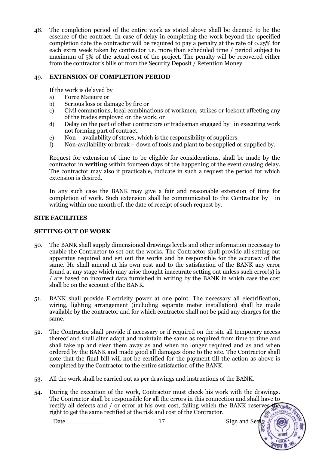48. The completion period of the entire work as stated above shall be deemed to be the essence of the contract. In case of delay in completing the work beyond the specified completion date the contractor will be required to pay a penalty at the rate of 0.25% for each extra week taken by contractor i.e. more than scheduled time / period subject to maximum of 5% of the actual cost of the project. The penalty will be recovered either from the contractor's bills or from the Security Deposit / Retention Money.

#### 49. **EXTENSION OF COMPLETION PERIOD**

If the work is delayed by

- a) Force Majeure or
- b) Serious loss or damage by fire or
- c) Civil commotions, local combinations of workmen, strikes or lockout affecting any of the trades employed on the work, or
- d) Delay on the part of other contractors or tradesman engaged by in executing work not forming part of contract.
- e) Non availability of stores, which is the responsibility of suppliers.
- f) Non-availability or break down of tools and plant to be supplied or supplied by.

Request for extension of time to be eligible for considerations, shall be made by the contractor in **writing** within fourteen days of the happening of the event causing delay. The contractor may also if practicable, indicate in such a request the period for which extension is desired.

In any such case the BANK may give a fair and reasonable extension of time for completion of work. Such extension shall be communicated to the Contractor by in writing within one month of, the date of receipt of such request by.

#### **SITE FACILITIES**

#### **SETTING OUT OF WORK**

- 50. The BANK shall supply dimensioned drawings levels and other information necessary to enable the Contractor to set out the works. The Contractor shall provide all setting out apparatus required and set out the works and be responsible for the accuracy of the same. He shall amend at his own cost and to the satisfaction of the BANK any error found at any stage which may arise thought inaccurate setting out unless such error(s) is / are based on incorrect data furnished in writing by the BANK in which case the cost shall be on the account of the BANK.
- 51. BANK shall provide Electricity power at one point. The necessary all electrification, wiring, lighting arrangement (including separate meter installation) shall be made available by the contractor and for which contractor shall not be paid any charges for the same.
- 52. The Contractor shall provide if necessary or if required on the site all temporary access thereof and shall alter adapt and maintain the same as required from time to time and shall take up and clear them away as and when no longer required and as and when ordered by the BANK and made good all damages done to the site. The Contractor shall note that the final bill will not be certified for the payment till the action as above is completed by the Contractor to the entire satisfaction of the BANK.
- 53. All the work shall be carried out as per drawings and instructions of the BANK.
- 54. During the execution of the work, Contractor must check his work with the drawings. The Contractor shall be responsible for all the errors in this connection and shall have to rectify all defects and / or error at his own cost, failing which the BANK reserves the main right to get the same rectified at the risk and cost of the Contractor.**GRICULTI**

Date Sign and Sea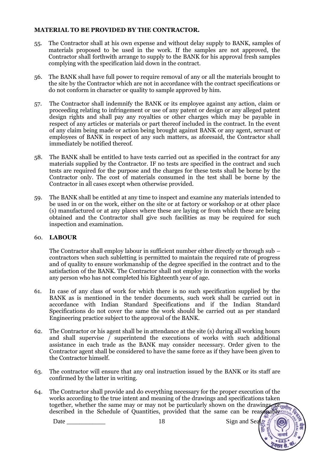#### **MATERIAL TO BE PROVIDED BY THE CONTRACTOR.**

- 55. The Contractor shall at his own expense and without delay supply to BANK, samples of materials proposed to be used in the work. If the samples are not approved, the Contractor shall forthwith arrange to supply to the BANK for his approval fresh samples complying with the specification laid down in the contract.
- 56. The BANK shall have full power to require removal of any or all the materials brought to the site by the Contractor which are not in accordance with the contract specifications or do not conform in character or quality to sample approved by him.
- 57. The Contractor shall indemnify the BANK or its employee against any action, claim or proceeding relating to infringement or use of any patent or design or any alleged patent design rights and shall pay any royalties or other charges which may be payable in respect of any articles or materials or part thereof included in the contract. In the event of any claim being made or action being brought against BANK or any agent, servant or employees of BANK in respect of any such matters, as aforesaid, the Contractor shall immediately be notified thereof.
- 58. The BANK shall be entitled to have tests carried out as specified in the contract for any materials supplied by the Contractor. IF no tests are specified in the contract and such tests are required for the purpose and the charges for these tests shall be borne by the Contractor only. The cost of materials consumed in the test shall be borne by the Contractor in all cases except when otherwise provided.
- 59. The BANK shall be entitled at any time to inspect and examine any materials intended to be used in or on the work, either on the site or at factory or workshop or at other place (s) manufactured or at any places where these are laying or from which these are being obtained and the Contractor shall give such facilities as may be required for such inspection and examination.

#### 60. **LABOUR**

The Contractor shall employ labour in sufficient number either directly or through sub – contractors when such subletting is permitted to maintain the required rate of progress and of quality to ensure workmanship of the degree specified in the contract and to the satisfaction of the BANK. The Contractor shall not employ in connection with the works any person who has not completed his Eighteenth year of age.

- 61. In case of any class of work for which there is no such specification supplied by the BANK as is mentioned in the tender documents, such work shall be carried out in accordance with Indian Standard Specifications and if the Indian Standard Specifications do not cover the same the work should be carried out as per standard Engineering practice subject to the approval of the BANK.
- 62. The Contractor or his agent shall be in attendance at the site (s) during all working hours and shall supervise / superintend the executions of works with such additional assistance in each trade as the BANK may consider necessary. Order given to the Contractor agent shall be considered to have the same force as if they have been given to the Contractor himself.
- 63. The contractor will ensure that any oral instruction issued by the BANK or its staff are confirmed by the latter in writing.
- 64. The Contractor shall provide and do everything necessary for the proper execution of the works according to the true intent and meaning of the drawings and specifications taken together, whether the same may or may not be particularly shown on the drawings,  $Q\Gamma\eta\eta\eta$ described in the Schedule of Quantities, provided that the same can be reasonably courte

Date \_\_\_\_\_\_\_\_\_\_\_\_ 18 Sign and Seal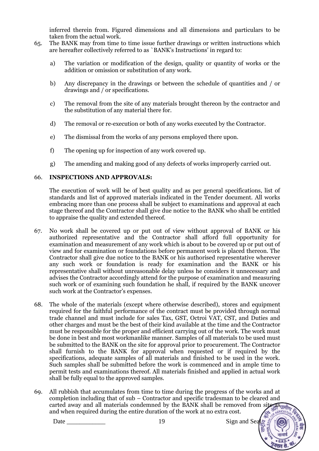inferred therein from. Figured dimensions and all dimensions and particulars to be taken from the actual work.

- 65. The BANK may from time to time issue further drawings or written instructions which are hereafter collectively referred to as `BANK's Instructions' in regard to:
	- a) The variation or modification of the design, quality or quantity of works or the addition or omission or substitution of any work.
	- b) Any discrepancy in the drawings or between the schedule of quantities and / or drawings and / or specifications.
	- c) The removal from the site of any materials brought thereon by the contractor and the substitution of any material there for.
	- d) The removal or re-execution or both of any works executed by the Contractor.
	- e) The dismissal from the works of any persons employed there upon.
	- f) The opening up for inspection of any work covered up.
	- g) The amending and making good of any defects of works improperly carried out.

#### 66. **INSPECTIONS AND APPROVALS:**

The execution of work will be of best quality and as per general specifications, list of standards and list of approved materials indicated in the Tender document. All works embracing more than one process shall be subject to examinations and approval at each stage thereof and the Contractor shall give due notice to the BANK who shall be entitled to appraise the quality and extended thereof.

- 67. No work shall be covered up or put out of view without approval of BANK or his authorized representative and the Contractor shall afford full opportunity for examination and measurement of any work which is about to be covered up or put out of view and for examination or foundations before permanent work is placed thereon. The Contractor shall give due notice to the BANK or his authorised representative wherever any such work or foundation is ready for examination and the BANK or his representative shall without unreasonable delay unless he considers it unnecessary and advises the Contractor accordingly attend for the purpose of examination and measuring such work or of examining such foundation he shall, if required by the BANK uncover such work at the Contractor's expenses.
- 68. The whole of the materials (except where otherwise described), stores and equipment required for the faithful performance of the contract must be provided through normal trade channel and must include for sales Tax, GST, Octroi VAT, CST, and Duties and other charges and must be the best of their kind available at the time and the Contractor must be responsible for the proper and efficient carrying out of the work. The work must be done in best and most workmanlike manner. Samples of all materials to be used must be submitted to the BANK on the site for approval prior to procurement. The Contractor shall furnish to the BANK for approval when requested or if required by the specifications, adequate samples of all materials and finished to be used in the work. Such samples shall be submitted before the work is commenced and in ample time to permit tests and examinations thereof. All materials finished and applied in actual work shall be fully equal to the approved samples.
- 69. All rubbish that accumulates from time to time during the progress of the works and at completion including that of sub – Contractor and specific tradesman to be cleared and complement including that of subsequences and  $\epsilon_F$  contracts the second from site  $\epsilon_F$  carted away and all materials condemned by the BANK shall be removed from site  $\epsilon_F$ and when required during the entire duration of the work at no extra cost.AGRICULT

Date 2012 19 Date 2012 19 Date 3 Sign and Sea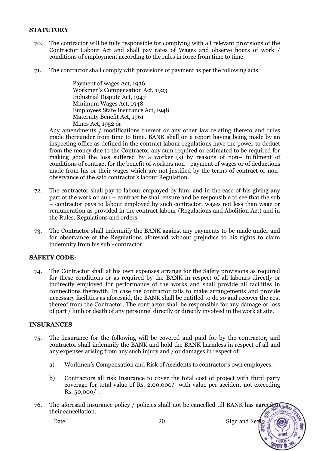#### **STATUTORY**

- 70. The contractor will be fully responsible for complying with all relevant provisions of the Contractor Labour Act and shall pay rates of Wages and observe hours of work / conditions of employment according to the rules in force from time to time.
- 71. The contractor shall comply with provisions of payment as per the following acts:

Payment of wages Act, 1936 Workmen's Compensation Act, 1923 Industrial Dispute Act, 1947 Minimum Wages Act, 1948 Employees State Insurance Act, 1948 Maternity Benefit Act, 1961 Mines Act, 1952 or

Any amendments / modifications thereof or any other law relating thereto and rules made thereunder from time to time. BANK shall on a report having being made by an inspecting office as defined in the contract labour regulations have the power to deduct from the money due to the Contractor any sum required or estimated to be required for making good the loss suffered by a worker  $(s)$  by reasons of non– fulfilment of conditions of contract for the benefit of workers non– payment of wages or of deductions made from his or their wages which are not justified by the terms of contract or nonobservance of the said contractor's labour Regulation.

- 72. The contractor shall pay to labour employed by him, and in the case of his giving any part of the work on sub – contract he shall ensure and be responsible to see that the sub – contractor pays to labour employed by such contractor, wages not less than wage or remuneration as provided in the contract labour (Regulations and Abolition Act) and in the Rules, Regulations and orders.
- 73. The Contractor shall indemnify the BANK against any payments to be made under and for observance of the Regulations aforesaid without prejudice to his rights to claim indemnity from his sub - contractor.

#### **SAFETY CODE:**

74. The Contractor shall at his own expenses arrange for the Safety provisions as required for these conditions or as required by the BANK in respect of all labours directly or indirectly employed for performance of the works and shall provide all facilities in connections therewith. In case the contractor fails to make arrangements and provide necessary facilities as aforesaid, the BANK shall be entitled to do so and recover the cost thereof from the Contractor. The contractor shall be responsible for any damage or loss of part / limb or death of any personnel directly or directly involved in the work at site.

#### **INSURANCES**

- 75. The Insurance for the following will be covered and paid for by the contractor, and contractor shall indemnify the BANK and hold the BANK harmless in respect of all and any expenses arising from any such injury and / or damages in respect of:
	- a) Workmen's Compensation and Risk of Accidents to contractor's own employees.
	- b) Contractors all risk Insurance to cover the total cost of project with third party coverage for total value of Rs. 2,00,000/- with value per accident not exceeding Rs. 50,000/-.
- 76. The aforesaid insurance policy / policies shall not be cancelled till BANK has agreed tourf their cancellation.GRICUL

Date Sign and Sea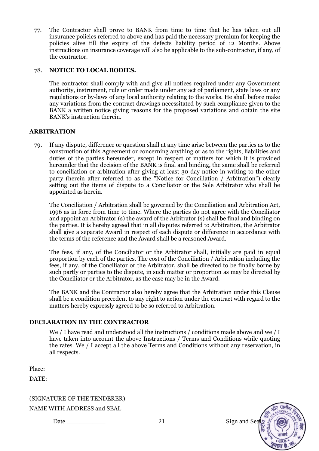77. The Contractor shall prove to BANK from time to time that he has taken out all insurance policies referred to above and has paid the necessary premium for keeping the policies alive till the expiry of the defects liability period of 12 Months. Above instructions on insurance coverage will also be applicable to the sub-contractor, if any, of the contractor.

#### 78. **NOTICE TO LOCAL BODIES.**

The contractor shall comply with and give all notices required under any Government authority, instrument, rule or order made under any act of parliament, state laws or any regulations or by-laws of any local authority relating to the works. He shall before make any variations from the contract drawings necessitated by such compliance given to the BANK a written notice giving reasons for the proposed variations and obtain the site BANK's instruction therein.

#### **ARBITRATION**

79. If any dispute, difference or question shall at any time arise between the parties as to the construction of this Agreement or concerning anything or as to the rights, liabilities and duties of the parties hereunder, except in respect of matters for which it is provided hereunder that the decision of the BANK is final and binding, the same shall be referred to conciliation or arbitration after giving at least 30 day notice in writing to the other party (herein after referred to as the "Notice for Conciliation / Arbitration") clearly setting out the items of dispute to a Conciliator or the Sole Arbitrator who shall be appointed as herein.

The Conciliation / Arbitration shall be governed by the Conciliation and Arbitration Act, 1996 as in force from time to time. Where the parties do not agree with the Conciliator and appoint an Arbitrator (s) the award of the Arbitrator (s) shall be final and binding on the parties. It is hereby agreed that in all disputes referred to Arbitration, the Arbitrator shall give a separate Award in respect of each dispute or difference in accordance with the terms of the reference and the Award shall be a reasoned Award.

The fees, if any, of the Conciliator or the Arbitrator shall, initially are paid in equal proportion by each of the parties. The cost of the Conciliation / Arbitration including the fees, if any, of the Conciliator or the Arbitrator, shall be directed to be finally borne by such partly or parties to the dispute, in such matter or proportion as may be directed by the Conciliator or the Arbitrator, as the case may be in the Award.

The BANK and the Contractor also hereby agree that the Arbitration under this Clause shall be a condition precedent to any right to action under the contract with regard to the matters hereby expressly agreed to be so referred to Arbitration.

#### **DECLARATION BY THE CONTRACTOR**

We / I have read and understood all the instructions / conditions made above and we / I have taken into account the above Instructions / Terms and Conditions while quoting the rates. We / I accept all the above Terms and Conditions without any reservation, in all respects.

Place:

DATE:

(SIGNATURE OF THE TENDERER)

NAME WITH ADDRESS and SEAL

Date \_\_\_\_\_\_\_\_\_\_\_\_ 21 Sign and Seal

 $\pi r$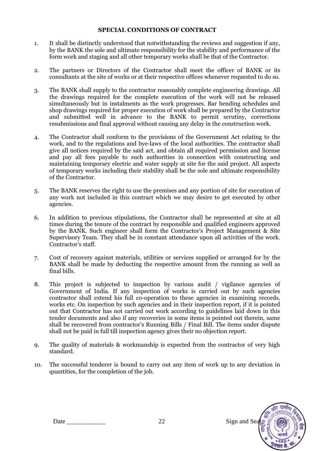#### **SPECIAL CONDITIONS OF CONTRACT**

- 1. It shall be distinctly understood that notwithstanding the reviews and suggestion if any, by the BANK the sole and ultimate responsibility for the stability and performance of the form work and staging and all other temporary works shall be that of the Contractor.
- 2. The partners or Directors of the Contractor shall meet the officer of BANK or its consultants at the site of works or at their respective offices whenever requested to do so.
- 3. The BANK shall supply to the contractor reasonably complete engineering drawings. All the drawings required for the complete execution of the work will not be released simultaneously but in instalments as the work progresses. Bar bending schedules and shop drawings required for proper execution of work shall be prepared by the Contractor and submitted well in advance to the BANK to permit scrutiny, corrections resubmissions and final approval without causing any delay in the construction work.
- 4. The Contractor shall conform to the provisions of the Government Act relating to the work, and to the regulations and bye-laws of the local authorities. The contractor shall give all notices required by the said act, and obtain all required permission and license and pay all fees payable to such authorities in connection with constructing and maintaining temporary electric and water supply at site for the said project. All aspects of temporary works including their stability shall be the sole and ultimate responsibility of the Contractor.
- 5. The BANK reserves the right to use the premises and any portion of site for execution of any work not included in this contract which we may desire to get executed by other agencies.
- 6. In addition to previous stipulations, the Contractor shall be represented at site at all times during the tenure of the contract by responsible and qualified engineers approved by the BANK. Such engineer shall form the Contractor's Project Management & Site Supervisory Team. They shall be in constant attendance upon all activities of the work. Contractor's staff.
- 7. Cost of recovery against materials, utilities or services supplied or arranged for by the BANK shall be made by deducting the respective amount from the running as well as final bills.
- 8. This project is subjected to inspection by various audit / vigilance agencies of Government of India. If any inspection of works is carried out by such agencies contractor shall extend his full co-operation to these agencies in examining records, works etc. On inspection by such agencies and in their inspection report, if it is pointed out that Contractor has not carried out work according to guidelines laid down in this tender documents and also if any recoveries in some items is pointed out therein, same shall be recovered from contractor's Running Bills / Final Bill. The items under dispute shall not be paid in full till inspection agency gives their no objection report.
- 9. The quality of materials & workmanship is expected from the contractor of very high standard.
- 10. The successful tenderer is bound to carry out any item of work up to any deviation in quantities, for the completion of the job.

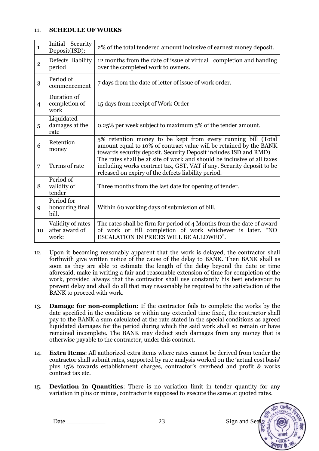#### 11. **SCHEDULE OF WORKS**

| $\mathbf{1}$   | Security<br>Initial<br>Deposit(ISD):         | 2% of the total tendered amount inclusive of earnest money deposit.                                                                                                                                     |
|----------------|----------------------------------------------|---------------------------------------------------------------------------------------------------------------------------------------------------------------------------------------------------------|
| $\overline{2}$ | Defects liability<br>period                  | 12 months from the date of issue of virtual completion and handing<br>over the completed work to owners.                                                                                                |
| 3              | Period of<br>commencement                    | 7 days from the date of letter of issue of work order.                                                                                                                                                  |
| $\overline{4}$ | Duration of<br>completion of<br>work         | 15 days from receipt of Work Order                                                                                                                                                                      |
| 5              | Liquidated<br>damages at the<br>rate         | 0.25% per week subject to maximum 5% of the tender amount.                                                                                                                                              |
| 6              | Retention<br>money                           | 5% retention money to be kept from every running bill (Total<br>amount equal to 10% of contract value will be retained by the BANK<br>towards security deposit. Security Deposit includes ISD and RMD)  |
| $\overline{7}$ | Terms of rate                                | The rates shall be at site of work and should be inclusive of all taxes<br>including works contract tax, GST, VAT if any. Security deposit to be<br>released on expiry of the defects liability period. |
| 8              | Period of<br>validity of<br>tender           | Three months from the last date for opening of tender.                                                                                                                                                  |
| 9              | Period for<br>honouring final<br>bill.       | Within 60 working days of submission of bill.                                                                                                                                                           |
| 10             | Validity of rates<br>after award of<br>work: | The rates shall be firm for period of 4 Months from the date of award<br>of work or till completion of work whichever is later. "NO<br>ESCALATION IN PRICES WILL BE ALLOWED".                           |

- 12. Upon it becoming reasonably apparent that the work is delayed, the contractor shall forthwith give written notice of the cause of the delay to BANK. Then BANK shall as soon as they are able to estimate the length of the delay beyond the date or time aforesaid, make in writing a fair and reasonable extension of time for completion of the work, provided always that the contractor shall use constantly his best endeavour to prevent delay and shall do all that may reasonably be required to the satisfaction of the BANK to proceed with work.
- 13. **Damage for non-completion**: If the contractor fails to complete the works by the date specified in the conditions or within any extended time fixed, the contractor shall pay to the BANK a sum calculated at the rate stated in the special conditions as agreed liquidated damages for the period during which the said work shall so remain or have remained incomplete. The BANK may deduct such damages from any money that is otherwise payable to the contractor, under this contract.
- 14. **Extra Items**: All authorized extra items where rates cannot be derived from tender the contractor shall submit rates, supported by rate analysis worked on the 'actual cost basis' plus 15% towards establishment charges, contractor's overhead and profit & works contract tax etc.
- 15. **Deviation in Quantities**: There is no variation limit in tender quantity for any variation in plus or minus, contractor is supposed to execute the same at quoted rates.



Date Sign and Sea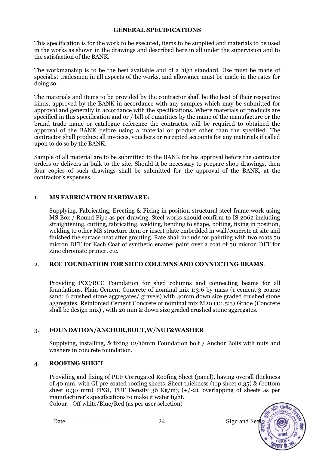#### **GENERAL SPECIFICATIONS**

This specification is for the work to be executed, items to be supplied and materials to be used in the works as shown in the drawings and described here in all under the supervision and to the satisfaction of the BANK.

The workmanship is to be the best available and of a high standard. Use must be made of specialist tradesmen in all aspects of the works, and allowance must be made in the rates for doing so.

The materials and items to be provided by the contractor shall be the best of their respective kinds, approved by the BANK in accordance with any samples which may be submitted for approval and generally in accordance with the specifications. Where materials or products are specified in this specification and or / bill of quantities by the name of the manufacture or the brand trade name or catalogue reference the contractor will be required to obtained the approval of the BANK before using a material or product other than the specified. The contractor shall produce all invoices, vouchers or receipted accounts for any materials if called upon to do so by the BANK.

Sample of all material are to be submitted to the BANK for his approval before the contractor orders or delivers in bulk to the site. Should it be necessary to prepare shop drawings, then four copies of such drawings shall be submitted for the approval of the BANK, at the contractor's expenses.

#### 1. **MS FABRICATION HARDWARE:**

Supplying, Fabricating, Erecting & Fixing in position structural steel frame work using MS Box / Round Pipe as per drawing. Steel works should confirm to IS 2062 including straightening, cutting, fabricating, welding, bending to shape, bolting, fixing in position, welding to other MS structure item or insert plate embedded in wall/concrete at site and finished the surface neat after grouting. Rate shall include for painting with two coats 50 micron DFT for Each Coat of synthetic enamel paint over a coat of 50 micron DFT for Zinc chromate primer, etc.

#### 2. **RCC FOUNDATION FOR SHED COLUMNS AND CONNECTING BEAMS**.

Providing PCC/RCC Foundation for shed columns and connecting beams for all foundations. Plain Cement Concrete of nominal mix 1:3:6 by mass (1 cement:3 coarse sand: 6 crushed stone aggregates/ gravels) with 40mm down size graded crushed stone aggregates. Reinforced Cement Concrete of nominal mix M20 (1:1.5:3) Grade (Concrete shall be design mix) , with 20 mm & down size graded crushed stone aggregates.

#### 3. **FOUNDATION/ANCHOR,BOLT,W/NUT&WASHER**

Supplying, installing, & fixing 12/16mm Foundation bolt / Anchor Bolts with nuts and washers in concrete foundation.

#### 4. **ROOFING SHEET**

Providing and fixing of PUF Corrugated Roofing Sheet (panel), having overall thickness of 40 mm, with GI pre coated roofing sheets. Sheet thickness (top sheet 0.35) & (bottom sheet 0.30 mm) PPGI, PUF Density 36 Kg/m3  $(+/-2)$ , overlapping of sheets as per manufacturer's specifications to make it water tight. Colour:- Off white/Blue/Red (as per user selection)

Date 24 Sign and Sea

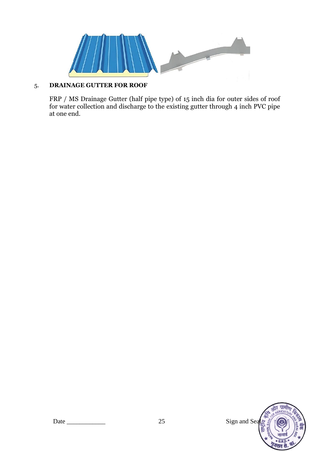

## 5. **DRAINAGE GUTTER FOR ROOF**

FRP / MS Drainage Gutter (half pipe type) of 15 inch dia for outer sides of roof for water collection and discharge to the existing gutter through 4 inch PVC pipe at one end.

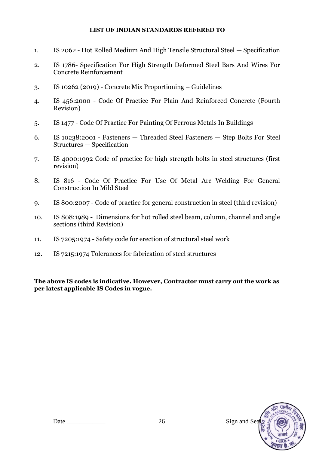#### **LIST OF INDIAN STANDARDS REFERED TO**

- 1. IS 2062 Hot Rolled Medium And High Tensile Structural Steel Specification
- 2. IS 1786- Specification For High Strength Deformed Steel Bars And Wires For Concrete Reinforcement
- 3. IS 10262 (2019) Concrete Mix Proportioning Guidelines
- 4. IS 456:2000 Code Of Practice For Plain And Reinforced Concrete (Fourth Revision)
- 5. IS 1477 Code Of Practice For Painting Of Ferrous Metals In Buildings
- 6. IS 10238:2001 Fasteners Threaded Steel Fasteners Step Bolts For Steel Structures — Specification
- 7. IS 4000:1992 Code of practice for high strength bolts in steel structures (first revision)
- 8. IS 816 Code Of Practice For Use Of Metal Arc Welding For General Construction In Mild Steel
- 9. IS 800:2007 Code of practice for general construction in steel (third revision)
- 10. IS 808:1989 Dimensions for hot rolled steel beam, column, channel and angle sections (third Revision)
- 11. IS 7205:1974 Safety code for erection of structural steel work
- 12. IS 7215:1974 Tolerances for fabrication of steel structures

**The above IS codes is indicative. However, Contractor must carry out the work as per latest applicable IS Codes in vogue.** 

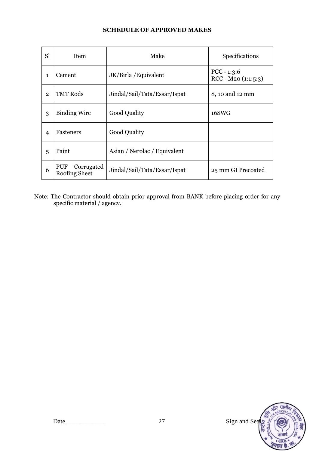#### **SCHEDULE OF APPROVED MAKES**

| S <sub>1</sub> | Item                                            | Make                         | Specifications                         |  |
|----------------|-------------------------------------------------|------------------------------|----------------------------------------|--|
| $\mathbf{1}$   | Cement                                          | JK/Birla / Equivalent        | $PCC - 1:3:6$<br>$RCC - M20 (1:1:5:3)$ |  |
| $\overline{2}$ | <b>TMT Rods</b><br>Jindal/Sail/Tata/Essar/Ispat |                              | 8, 10 and 12 mm                        |  |
| 3              | <b>Binding Wire</b>                             | <b>Good Quality</b>          | 16SWG                                  |  |
| 4              | Fasteners                                       | <b>Good Quality</b>          |                                        |  |
| 5              | Paint                                           | Asian / Nerolac / Equivalent |                                        |  |
| 6              | <b>PUF</b><br>Corrugated<br>Roofing Sheet       | Jindal/Sail/Tata/Essar/Ispat | 25 mm GI Precoated                     |  |

Note: The Contractor should obtain prior approval from BANK before placing order for any specific material / agency.

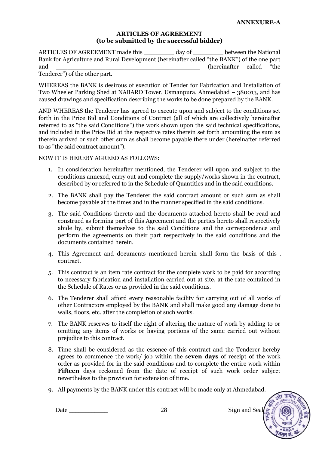#### **ARTICLES OF AGREEMENT (to be submitted by the successful bidder)**

ARTICLES OF AGREEMENT made this day of between the National Bank for Agriculture and Rural Development (hereinafter called "the BANK") of the one part and  $\alpha$  (hereinafter called "the

Tenderer") of the other part.

WHEREAS the BANK is desirous of execution of Tender for Fabrication and Installation of Two Wheeler Parking Shed at NABARD Tower, Usmanpura, Ahmedabad – 380013, and has caused drawings and specification describing the works to be done prepared by the BANK.

AND WHEREAS the Tenderer has agreed to execute upon and subject to the conditions set forth in the Price Bid and Conditions of Contract (all of which are collectively hereinafter referred to as "the said Conditions") the work shown upon the said technical specifications, and included in the Price Bid at the respective rates therein set forth amounting the sum as therein arrived or such other sum as shall become payable there under (hereinafter referred to as "the said contract amount").

NOW IT IS HEREBY AGREED AS FOLLOWS:

- 1. In consideration hereinafter mentioned, the Tenderer will upon and subject to the conditions annexed, carry out and complete the supply/works shown in the contract, described by or referred to in the Schedule of Quantities and in the said conditions.
- 2. The BANK shall pay the Tenderer the said contract amount or such sum as shall become payable at the times and in the manner specified in the said conditions.
- 3. The said Conditions thereto and the documents attached hereto shall be read and construed as forming part of this Agreement and the parties hereto shall respectively abide by, submit themselves to the said Conditions and the correspondence and perform the agreements on their part respectively in the said conditions and the documents contained herein.
- 4. This Agreement and documents mentioned herein shall form the basis of this contract.
- 5. This contract is an item rate contract for the complete work to be paid for according to necessary fabrication and installation carried out at site, at the rate contained in the Schedule of Rates or as provided in the said conditions.
- 6. The Tenderer shall afford every reasonable facility for carrying out of all works of other Contractors employed by the BANK and shall make good any damage done to walls, floors, etc. after the completion of such works.
- 7. The BANK reserves to itself the right of altering the nature of work by adding to or omitting any items of works or having portions of the same carried out without prejudice to this contract.
- 8. Time shall be considered as the essence of this contract and the Tenderer hereby agrees to commence the work/ job within the s**even days** of receipt of the work order as provided for in the said conditions and to complete the entire work within **Fifteen** days reckoned from the date of receipt of such work order subject nevertheless to the provision for extension of time.
- 9. All payments by the BANK under this contract will be made only at Ahmedabad.

Date 28 Sign and Seal

ग्रामीक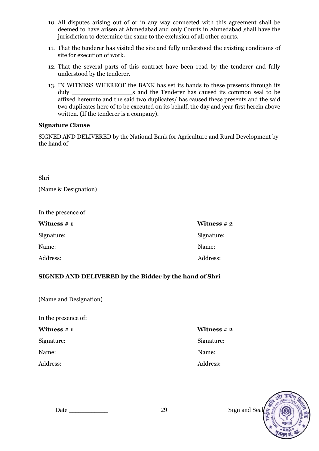- 10. All disputes arising out of or in any way connected with this agreement shall be deemed to have arisen at Ahmedabad and only Courts in Ahmedabad shall have the jurisdiction to determine the same to the exclusion of all other courts.
- 11. That the tenderer has visited the site and fully understood the existing conditions of site for execution of work.
- 12. That the several parts of this contract have been read by the tenderer and fully understood by the tenderer.
- 13. IN WITNESS WHEREOF the BANK has set its hands to these presents through its duly s and the Tenderer has caused its common seal to be affixed hereunto and the said two duplicates/ has caused these presents and the said two duplicates here of to be executed on its behalf, the day and year first herein above written. (If the tenderer is a company).

#### **Signature Clause**

SIGNED AND DELIVERED by the National Bank for Agriculture and Rural Development by the hand of

Shri

(Name & Designation)

In the presence of:

| Witness $# 1$ | Witness $# 2$ |
|---------------|---------------|
| Signature:    | Signature:    |
| Name:         | Name:         |
| Address:      | Address:      |

#### **SIGNED AND DELIVERED by the Bidder by the hand of Shri**

| (Name and Designation) |
|------------------------|
|------------------------|

In the presence of:

Signature: Signature: Signature: Signature: Signature: Signature: Signature: Signature: Signature: Signature: Signature: Signature: Signature: Signature: Signature: Signature: Signature: Signature: Signature: Signature: Si

#### **Witness # 1** Witness **# 2**

Name: Name:

#### Address: Address: Address: Address: Address: Address: Address: Address: Address: Address: Address: Address: Address: Address: Address: Address: Address: Address: Address: Address: Address: Address: Address: Address: Addres



Date 29 Sign and Sea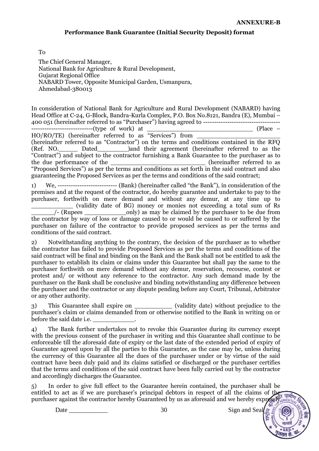#### **Performance Bank Guarantee (Initial Security Deposit) format**

To

The Chief General Manager, National Bank for Agriculture & Rural Development, Gujarat Regional Office NABARD Tower, Opposite Municipal Garden, Usmanpura, Ahmedabad-380013

In consideration of National Bank for Agriculture and Rural Development (NABARD) having Head Office at C-24, G-Block, Bandra-Kurla Complex, P.O. Box No.8121, Bandra (E), Mumbai – 400 051 (hereinafter referred to as "Purchaser") having agreed to -----------------------------------

----------------------------(type of work) at \_\_\_\_\_\_\_\_\_\_\_\_\_\_\_\_\_\_\_\_\_\_\_\_\_\_\_\_ (Place –

 $HO/RO/TE$ ) (hereinafter referred to as "Services") from  $\Box$ (hereinafter referred to as "Contractor") on the terms and conditions contained in the RFQ (Ref. NO. Dated ) and their agreement (hereinafter referred to as the "Contract") and subject to the contractor furnishing a Bank Guarantee to the purchaser as to the due performance of the the set of the set of the set of the set of the set of the set of the set of the set of the set of the set of the set of the set of the set of the set of the set of the set of the set of the set "Proposed Services") as per the terms and conditions as set forth in the said contract and also guaranteeing the Proposed Services as per the terms and conditions of the said contract;

1) We, --------------------------- (Bank) (hereinafter called "the Bank"), in consideration of the premises and at the request of the contractor, do hereby guarantee and undertake to pay to the purchaser, forthwith on mere demand and without any demur, at any time up to \_\_\_\_\_\_\_\_\_\_\_ (validity date of BG) money or monies not exceeding a total sum of Rs \_\_\_\_\_\_/- (Rupees \_\_\_\_\_\_\_\_\_\_\_only) as may be claimed by the purchaser to be due from the contractor by way of loss or damage caused to or would be caused to or suffered by the purchaser on failure of the contractor to provide proposed services as per the terms and conditions of the said contract.

2) Notwithstanding anything to the contrary, the decision of the purchaser as to whether the contractor has failed to provide Proposed Services as per the terms and conditions of the said contract will be final and binding on the Bank and the Bank shall not be entitled to ask the purchaser to establish its claim or claims under this Guarantee but shall pay the same to the purchaser forthwith on mere demand without any demur, reservation, recourse, contest or protest and/ or without any reference to the contractor. Any such demand made by the purchaser on the Bank shall be conclusive and binding notwithstanding any difference between the purchaser and the contractor or any dispute pending before any Court, Tribunal, Arbitrator or any other authority.

3) This Guarantee shall expire on  $\qquad \qquad$  (validity date) without prejudice to the purchaser's claim or claims demanded from or otherwise notified to the Bank in writing on or before the said date i.e.

4) The Bank further undertakes not to revoke this Guarantee during its currency except with the previous consent of the purchaser in writing and this Guarantee shall continue to be enforceable till the aforesaid date of expiry or the last date of the extended period of expiry of Guarantee agreed upon by all the parties to this Guarantee, as the case may be, unless during the currency of this Guarantee all the dues of the purchaser under or by virtue of the said contract have been duly paid and its claims satisfied or discharged or the purchaser certifies that the terms and conditions of the said contract have been fully carried out by the contractor and accordingly discharges the Guarantee.

5) In order to give full effect to the Guarantee herein contained, the purchaser shall be entitled to act as if we are purchaser's principal debtors in respect of all the claims of the purchaser against the contractor hereby Guaranteed by us as aforesaid and we hereby expressive and we hereby

Date  $30$  Sign and Seal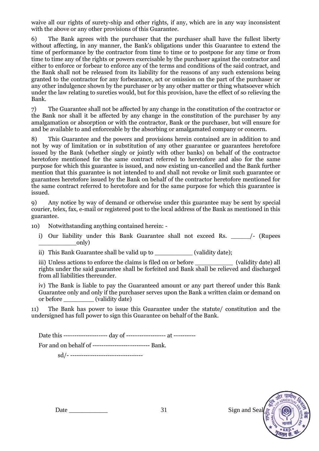waive all our rights of surety-ship and other rights, if any, which are in any way inconsistent with the above or any other provisions of this Guarantee.

6) The Bank agrees with the purchaser that the purchaser shall have the fullest liberty without affecting, in any manner, the Bank's obligations under this Guarantee to extend the time of performance by the contractor from time to time or to postpone for any time or from time to time any of the rights or powers exercisable by the purchaser against the contractor and either to enforce or forbear to enforce any of the terms and conditions of the said contract, and the Bank shall not be released from its liability for the reasons of any such extensions being granted to the contractor for any forbearance, act or omission on the part of the purchaser or any other indulgence shown by the purchaser or by any other matter or thing whatsoever which under the law relating to sureties would, but for this provision, have the effect of so relieving the Bank.

7) The Guarantee shall not be affected by any change in the constitution of the contractor or the Bank nor shall it be affected by any change in the constitution of the purchaser by any amalgamation or absorption or with the contractor, Bank or the purchaser, but will ensure for and be available to and enforceable by the absorbing or amalgamated company or concern.

8) This Guarantee and the powers and provisions herein contained are in addition to and not by way of limitation or in substitution of any other guarantee or guarantees heretofore issued by the Bank (whether singly or jointly with other banks) on behalf of the contractor heretofore mentioned for the same contract referred to heretofore and also for the same purpose for which this guarantee is issued, and now existing un-cancelled and the Bank further mention that this guarantee is not intended to and shall not revoke or limit such guarantee or guarantees heretofore issued by the Bank on behalf of the contractor heretofore mentioned for the same contract referred to heretofore and for the same purpose for which this guarantee is issued.

9) Any notice by way of demand or otherwise under this guarantee may be sent by special courier, telex, fax, e-mail or registered post to the local address of the Bank as mentioned in this guarantee.

10) Notwithstanding anything contained herein: -

i) Our liability under this Bank Guarantee shall not exceed Rs.  $\frac{1}{2}$  (Rupees  $\qquad \qquad \text{only)}$ 

ii) This Bank Guarantee shall be valid up to \_\_\_\_\_\_\_\_\_\_ (validity date);

iii) Unless actions to enforce the claims is filed on or before (validity date) all rights under the said guarantee shall be forfeited and Bank shall be relieved and discharged from all liabilities thereunder.

iv) The Bank is liable to pay the Guaranteed amount or any part thereof under this Bank Guarantee only and only if the purchaser serves upon the Bank a written claim or demand on or before \_\_\_\_\_\_\_\_ (validity date)

11) The Bank has power to issue this Guarantee under the statute/ constitution and the undersigned has full power to sign this Guarantee on behalf of the Bank.

Date this --------------------- day of --------------------- at -----------

For and on behalf of -------------------------- Bank.

sd/- ---------------------------------

Date 21 Sign and Seal 31 Sign and Seal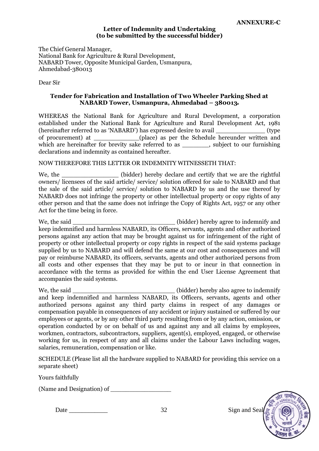#### **Letter of Indemnity and Undertaking (to be submitted by the successful bidder)**

The Chief General Manager, National Bank for Agriculture & Rural Development, NABARD Tower, Opposite Municipal Garden, Usmanpura, Ahmedabad-380013

Dear Sir

#### **Tender for Fabrication and Installation of Two Wheeler Parking Shed at NABARD Tower, Usmanpura, Ahmedabad – 380013**

WHEREAS the National Bank for Agriculture and Rural Development, a corporation established under the National Bank for Agriculture and Rural Development Act, 1981 (hereinafter referred to as 'NABARD') has expressed desire to avail  $($ type of procurement) at \_\_\_\_\_\_\_\_\_\_\_\_(place) as per the Schedule hereunder written and which are hereinafter for brevity sake referred to as \_\_\_\_\_\_, subject to our furnishing declarations and indemnity as contained hereafter.

#### NOW THEREFORE THIS LETTER OR INDEMNITY WITNESSETH THAT:

We, the \_\_\_\_\_\_\_\_\_\_\_\_\_\_\_\_\_\_\_\_ (bidder) hereby declare and certify that we are the rightful owners/ licensees of the said article/ service/ solution offered for sale to NABARD and that the sale of the said article/ service/ solution to NABARD by us and the use thereof by NABARD does not infringe the property or other intellectual property or copy rights of any other person and that the same does not infringe the Copy of Rights Act, 1957 or any other Act for the time being in force.

We, the said  $\qquad \qquad$  (bidder) hereby agree to indemnify and keep indemnified and harmless NABARD, its Officers, servants, agents and other authorized persons against any action that may be brought against us for infringement of the right of property or other intellectual property or copy rights in respect of the said systems package supplied by us to NABARD and will defend the same at our cost and consequences and will pay or reimburse NABARD, its officers, servants, agents and other authorized persons from all costs and other expenses that they may be put to or incur in that connection in accordance with the terms as provided for within the end User License Agreement that accompanies the said systems.

We, the said  $\qquad \qquad$  (bidder) hereby also agree to indemnify and keep indemnified and harmless NABARD, its Officers, servants, agents and other authorized persons against any third party claims in respect of any damages or compensation payable in consequences of any accident or injury sustained or suffered by our employees or agents, or by any other third party resulting from or by any action, omission, or operation conducted by or on behalf of us and against any and all claims by employees, workmen, contractors, subcontractors, suppliers, agent(s), employed, engaged, or otherwise working for us, in respect of any and all claims under the Labour Laws including wages, salaries, remuneration, compensation or like.

SCHEDULE (Please list all the hardware supplied to NABARD for providing this service on a separate sheet)

Yours faithfully

(Name and Designation) of \_\_\_\_\_\_\_\_\_\_\_\_\_\_\_\_

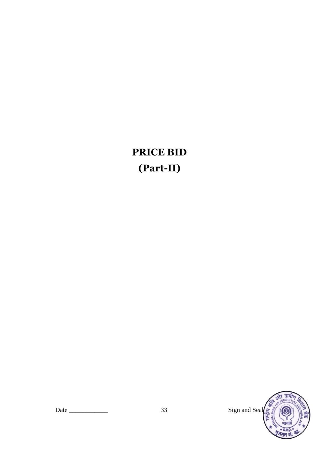# **PRICE BID (Part-II)**

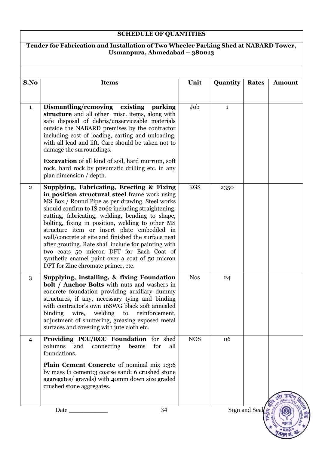## **SCHEDULE OF QUANTITIES**

#### **Tender for Fabrication and Installation of Two Wheeler Parking Shed at NABARD Tower, Usmanpura, Ahmedabad – 380013**

| S.No           | <b>Items</b>                                                                                                                                                                                                                                                                                                                                                                                                                                                                                                                                                                                                  | Unit       | Quantity     | <b>Rates</b>  | <b>Amount</b> |
|----------------|---------------------------------------------------------------------------------------------------------------------------------------------------------------------------------------------------------------------------------------------------------------------------------------------------------------------------------------------------------------------------------------------------------------------------------------------------------------------------------------------------------------------------------------------------------------------------------------------------------------|------------|--------------|---------------|---------------|
|                |                                                                                                                                                                                                                                                                                                                                                                                                                                                                                                                                                                                                               |            |              |               |               |
| $\mathbf{1}$   | Dismantling/removing existing<br>parking<br>structure and all other misc. items, along with<br>safe disposal of debris/unserviceable materials<br>outside the NABARD premises by the contractor<br>including cost of loading, carting and unloading,<br>with all lead and lift. Care should be taken not to<br>damage the surroundings.<br><b>Excavation</b> of all kind of soil, hard murrum, soft                                                                                                                                                                                                           | Job        | $\mathbf{1}$ |               |               |
|                | rock, hard rock by pneumatic drilling etc. in any<br>plan dimension / depth.                                                                                                                                                                                                                                                                                                                                                                                                                                                                                                                                  |            |              |               |               |
| $\overline{2}$ | Supplying, Fabricating, Erecting & Fixing<br>in position structural steel frame work using<br>MS Box / Round Pipe as per drawing. Steel works<br>should confirm to IS 2062 including straightening,<br>cutting, fabricating, welding, bending to shape,<br>bolting, fixing in position, welding to other MS<br>structure item or insert plate embedded in<br>wall/concrete at site and finished the surface neat<br>after grouting. Rate shall include for painting with<br>two coats 50 micron DFT for Each Coat of<br>synthetic enamel paint over a coat of 50 micron<br>DFT for Zinc chromate primer, etc. | <b>KGS</b> | 2350         |               |               |
| 3              | Supplying, installing, & fixing Foundation<br><b>bolt</b> / <b>Anchor Bolts</b> with nuts and washers in<br>concrete foundation providing auxiliary dummy<br>structures, if any, necessary tying and binding<br>with contractor's own 16SWG black soft annealed<br>binding wire, welding to reinforcement,<br>adjustment of shuttering, greasing exposed metal<br>surfaces and covering with jute cloth etc.                                                                                                                                                                                                  | <b>Nos</b> | 24           |               |               |
| 4              | Providing PCC/RCC Foundation for shed<br>columns<br>and<br>connecting<br>beams<br>for<br>all<br>foundations.                                                                                                                                                                                                                                                                                                                                                                                                                                                                                                  | <b>NOS</b> | 06           |               |               |
|                | Plain Cement Concrete of nominal mix 1:3:6<br>by mass (1 cement: 3 coarse sand: 6 crushed stone<br>aggregates/ gravels) with 40mm down size graded<br>crushed stone aggregates.                                                                                                                                                                                                                                                                                                                                                                                                                               |            |              |               |               |
|                | 34<br>Date $\overline{\phantom{a}}$                                                                                                                                                                                                                                                                                                                                                                                                                                                                                                                                                                           |            |              | Sign and Seal |               |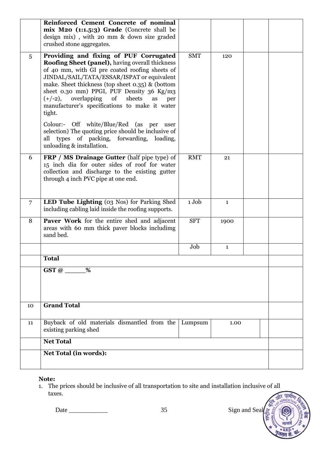|    | Reinforced Cement Concrete of nominal<br>$mix M20$ (1:1.5:3) Grade (Concrete shall be<br>design mix), with 20 mm & down size graded<br>crushed stone aggregates.                                                                                                                                                                                                                                                                                               |            |              |  |
|----|----------------------------------------------------------------------------------------------------------------------------------------------------------------------------------------------------------------------------------------------------------------------------------------------------------------------------------------------------------------------------------------------------------------------------------------------------------------|------------|--------------|--|
| 5  | Providing and fixing of PUF Corrugated<br>Roofing Sheet (panel), having overall thickness<br>of 40 mm, with GI pre coated roofing sheets of<br>JINDAL/SAIL/TATA/ESSAR/ISPAT or equivalent<br>make. Sheet thickness (top sheet 0.35) & (bottom<br>sheet 0.30 mm) PPGI, PUF Density 36 Kg/m3<br>overlapping<br>of<br>sheets<br>$(+/-2),$<br>as<br>per<br>manufacturer's specifications to make it water<br>tight.<br>Colour:- Off white/Blue/Red (as per<br>user | <b>SMT</b> | 120          |  |
|    | selection) The quoting price should be inclusive of<br>all types of packing, forwarding,<br>loading,<br>unloading & installation.                                                                                                                                                                                                                                                                                                                              |            |              |  |
| 6  | <b>FRP</b> / <b>MS</b> Drainage Gutter (half pipe type) of<br>15 inch dia for outer sides of roof for water<br>collection and discharge to the existing gutter<br>through 4 inch PVC pipe at one end.                                                                                                                                                                                                                                                          | <b>RMT</b> | 21           |  |
| 7  | LED Tube Lighting (03 Nos) for Parking Shed<br>including cabling laid inside the roofing supports.                                                                                                                                                                                                                                                                                                                                                             | 1 Job      | $\mathbf{1}$ |  |
| 8  | <b>Paver Work</b> for the entire shed and adjacent<br>areas with 60 mm thick paver blocks including<br>sand bed.                                                                                                                                                                                                                                                                                                                                               | <b>SFT</b> | 1900         |  |
|    |                                                                                                                                                                                                                                                                                                                                                                                                                                                                | Job        | $\mathbf{1}$ |  |
|    | <b>Total</b>                                                                                                                                                                                                                                                                                                                                                                                                                                                   |            |              |  |
|    | %<br>GST@                                                                                                                                                                                                                                                                                                                                                                                                                                                      |            |              |  |
| 10 | <b>Grand Total</b>                                                                                                                                                                                                                                                                                                                                                                                                                                             |            |              |  |
| 11 | Buyback of old materials dismantled from the<br>existing parking shed                                                                                                                                                                                                                                                                                                                                                                                          | Lumpsum    | 1.00         |  |
|    | <b>Net Total</b>                                                                                                                                                                                                                                                                                                                                                                                                                                               |            |              |  |
|    | Net Total (in words):                                                                                                                                                                                                                                                                                                                                                                                                                                          |            |              |  |

### **Note:**

1. The prices should be inclusive of all transportation to site and installation inclusive of all taxes.और ग्रामीण GRICUL

Date \_\_\_\_\_\_\_\_\_\_\_\_ 35 Sign and Seal

 $\overline{\mathbf{r}}$ राष्ट्रीय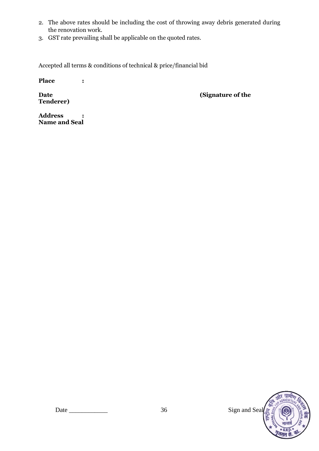- 2. The above rates should be including the cost of throwing away debris generated during the renovation work.
- 3. GST rate prevailing shall be applicable on the quoted rates.

Accepted all terms & conditions of technical & price/financial bid

**Place :**

**Tenderer)**

**Date (Signature of the** )

**Address : Name and Seal**